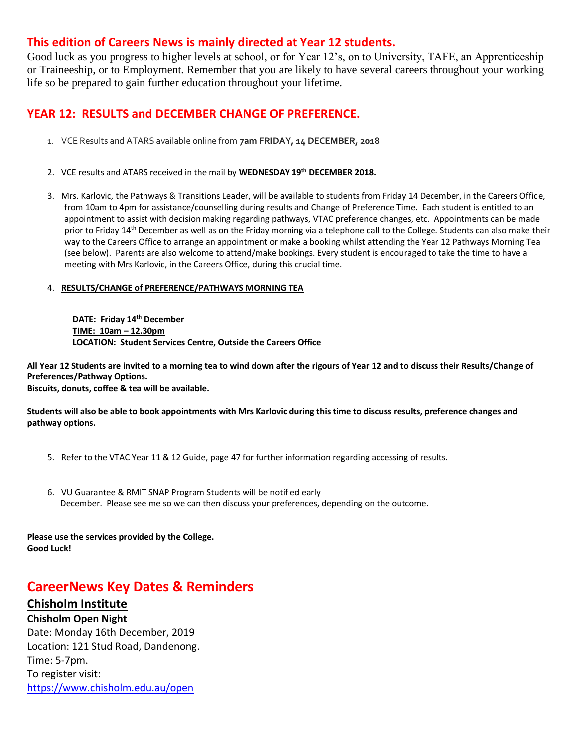#### **This edition of Careers News is mainly directed at Year 12 students.**

Good luck as you progress to higher levels at school, or for Year 12's, on to University, TAFE, an Apprenticeship or Traineeship, or to Employment. Remember that you are likely to have several careers throughout your working life so be prepared to gain further education throughout your lifetime.

#### **YEAR 12: RESULTS and DECEMBER CHANGE OF PREFERENCE.**

- 1. VCE Results and ATARS available online from **7am FRIDAY, 14 DECEMBER, 2018**
- 2. VCE results and ATARS received in the mail by **WEDNESDAY 19th DECEMBER 2018.**
- 3. Mrs. Karlovic, the Pathways & Transitions Leader, will be available to students from Friday 14 December, in the Careers Office, from 10am to 4pm for assistance/counselling during results and Change of Preference Time. Each student is entitled to an appointment to assist with decision making regarding pathways, VTAC preference changes, etc. Appointments can be made prior to Friday 14<sup>th</sup> December as well as on the Friday morning via a telephone call to the College. Students can also make their way to the Careers Office to arrange an appointment or make a booking whilst attending the Year 12 Pathways Morning Tea (see below). Parents are also welcome to attend/make bookings. Every student is encouraged to take the time to have a meeting with Mrs Karlovic, in the Careers Office, during this crucial time.

#### 4. **RESULTS/CHANGE of PREFERENCE/PATHWAYS MORNING TEA**

**DATE: Friday 14th December TIME: 10am – 12.30pm LOCATION: Student Services Centre, Outside the Careers Office**

**All Year 12 Students are invited to a morning tea to wind down after the rigours of Year 12 and to discuss their Results/Change of Preferences/Pathway Options.**

**Biscuits, donuts, coffee & tea will be available.**

**Students will also be able to book appointments with Mrs Karlovic during this time to discuss results, preference changes and pathway options.**

- 5. Refer to the VTAC Year 11 & 12 Guide, page 47 for further information regarding accessing of results.
- 6. VU Guarantee & RMIT SNAP Program Students will be notified early December. Please see me so we can then discuss your preferences, depending on the outcome.

**Please use the services provided by the College. Good Luck!**

# **CareerNews Key Dates & Reminders**

#### **Chisholm Institute**

**Chisholm Open Night**

Date: Monday 16th December, 2019 Location: 121 Stud Road, Dandenong. Time: 5-7pm. To register visit: <https://www.chisholm.edu.au/open>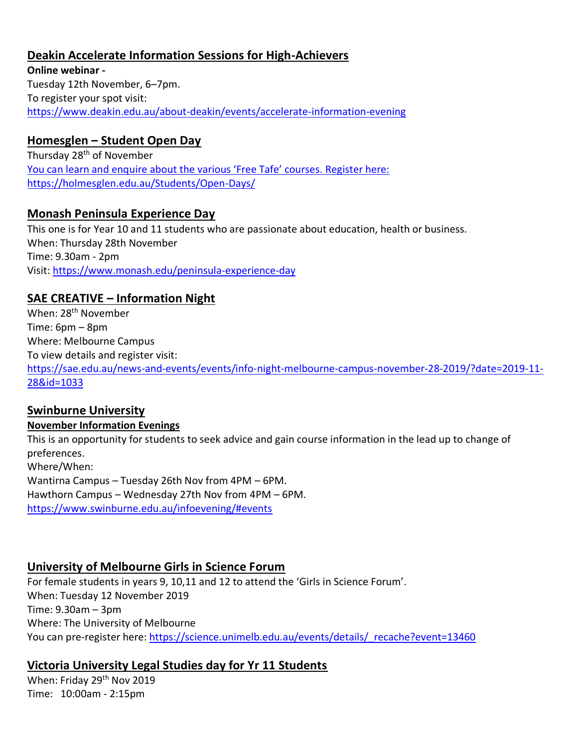### **Deakin Accelerate Information Sessions for High-Achievers**

**Online webinar -** Tuesday 12th November, 6–7pm. To register your spot visit: <https://www.deakin.edu.au/about-deakin/events/accelerate-information-evening>

#### **Homesglen – Student Open Day**

Thursday 28<sup>th</sup> of November You can learn and enquire about the various 'Free Tafe' courses. Register here: <https://holmesglen.edu.au/Students/Open-Days/>

#### **Monash Peninsula Experience Day**

This one is for Year 10 and 11 students who are passionate about education, health or business. When: Thursday 28th November Time: 9.30am - 2pm Visit:<https://www.monash.edu/peninsula-experience-day>

# **SAE CREATIVE – Information Night**

When: 28<sup>th</sup> November Time: 6pm – 8pm Where: Melbourne Campus To view details and register visit: [https://sae.edu.au/news-and-events/events/info-night-melbourne-campus-november-28-2019/?date=2019-11-](https://sae.edu.au/news-and-events/events/info-night-melbourne-campus-november-28-2019/?date=2019-11-28&id=1033) [28&id=1033](https://sae.edu.au/news-and-events/events/info-night-melbourne-campus-november-28-2019/?date=2019-11-28&id=1033)

#### **Swinburne University**

#### **November Information Evenings**

This is an opportunity for students to seek advice and gain course information in the lead up to change of preferences. Where/When: Wantirna Campus – Tuesday 26th Nov from 4PM – 6PM. Hawthorn Campus – Wednesday 27th Nov from 4PM – 6PM. <https://www.swinburne.edu.au/infoevening/#events>

#### **University of Melbourne Girls in Science Forum**

For female students in years 9, 10,11 and 12 to attend the 'Girls in Science Forum'. When: Tuesday 12 November 2019 Time: 9.30am – 3pm Where: The University of Melbourne You can pre-register here: https://science.unimelb.edu.au/events/details/ recache?event=13460

# **Victoria University Legal Studies day for Yr 11 Students**

When: Friday 29<sup>th</sup> Nov 2019 Time: 10:00am - 2:15pm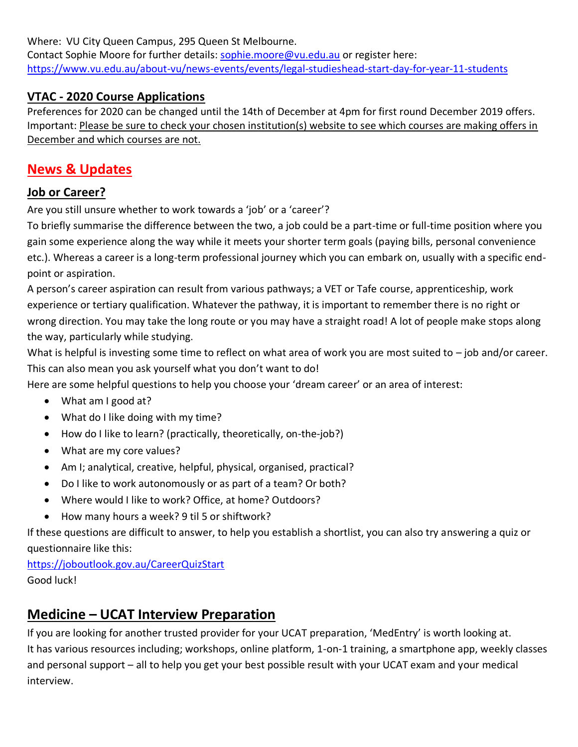Where: VU City Queen Campus, 295 Queen St Melbourne.

Contact Sophie Moore for further details: [sophie.moore@vu.edu.au](mailto:sophie.moore@vu.edu.au) or register here: <https://www.vu.edu.au/about-vu/news-events/events/legal-studieshead-start-day-for-year-11-students>

# **VTAC - 2020 Course Applications**

Preferences for 2020 can be changed until the 14th of December at 4pm for first round December 2019 offers. Important: Please be sure to check your chosen institution(s) website to see which courses are making offers in December and which courses are not.

# **News & Updates**

# **Job or Career?**

Are you still unsure whether to work towards a 'job' or a 'career'?

To briefly summarise the difference between the two, a job could be a part-time or full-time position where you gain some experience along the way while it meets your shorter term goals (paying bills, personal convenience etc.). Whereas a career is a long-term professional journey which you can embark on, usually with a specific endpoint or aspiration.

A person's career aspiration can result from various pathways; a VET or Tafe course, apprenticeship, work experience or tertiary qualification. Whatever the pathway, it is important to remember there is no right or wrong direction. You may take the long route or you may have a straight road! A lot of people make stops along the way, particularly while studying.

What is helpful is investing some time to reflect on what area of work you are most suited to - job and/or career. This can also mean you ask yourself what you don't want to do!

Here are some helpful questions to help you choose your 'dream career' or an area of interest:

- What am I good at?
- What do I like doing with my time?
- How do I like to learn? (practically, theoretically, on-the-job?)
- What are my core values?
- Am I; analytical, creative, helpful, physical, organised, practical?
- Do I like to work autonomously or as part of a team? Or both?
- Where would I like to work? Office, at home? Outdoors?
- How many hours a week? 9 til 5 or shiftwork?

If these questions are difficult to answer, to help you establish a shortlist, you can also try answering a quiz or questionnaire like this:

<https://joboutlook.gov.au/CareerQuizStart> Good luck!

# **Medicine – UCAT Interview Preparation**

If you are looking for another trusted provider for your UCAT preparation, 'MedEntry' is worth looking at. It has various resources including; workshops, online platform, 1-on-1 training, a smartphone app, weekly classes and personal support – all to help you get your best possible result with your UCAT exam and your medical interview.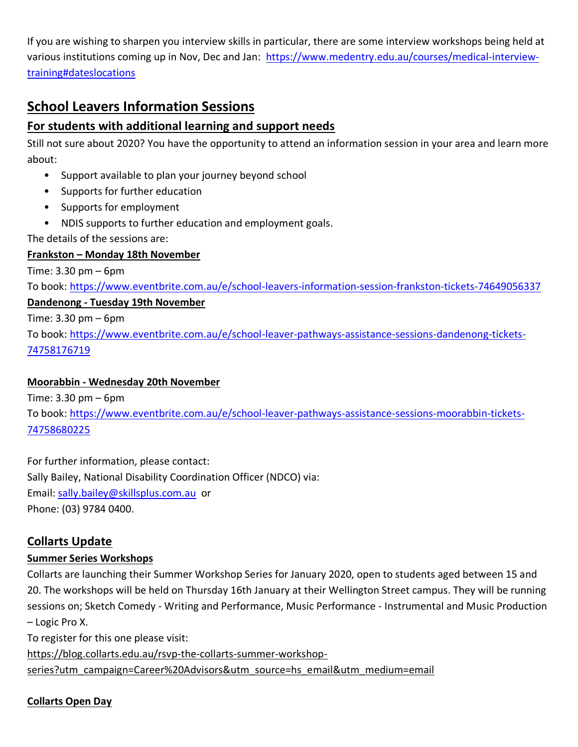If you are wishing to sharpen you interview skills in particular, there are some interview workshops being held at various institutions coming up in Nov, Dec and Jan: [https://www.medentry.edu.au/courses/medical-interview](https://www.medentry.edu.au/courses/medical-interview-training#dateslocations)[training#dateslocations](https://www.medentry.edu.au/courses/medical-interview-training#dateslocations)

# **School Leavers Information Sessions**

### **For students with additional learning and support needs**

Still not sure about 2020? You have the opportunity to attend an information session in your area and learn more about:

- Support available to plan your journey beyond school
- Supports for further education
- Supports for employment
- NDIS supports to further education and employment goals.

The details of the sessions are:

#### **Frankston – Monday 18th November**

Time: 3.30 pm – 6pm

To book:<https://www.eventbrite.com.au/e/school-leavers-information-session-frankston-tickets-74649056337>

#### **Dandenong - Tuesday 19th November**

Time: 3.30 pm – 6pm

To book: [https://www.eventbrite.com.au/e/school-leaver-pathways-assistance-sessions-dandenong-tickets-](https://www.eventbrite.com.au/e/school-leaver-pathways-assistance-sessions-dandenong-tickets-74758176719)[74758176719](https://www.eventbrite.com.au/e/school-leaver-pathways-assistance-sessions-dandenong-tickets-74758176719)

#### **Moorabbin - Wednesday 20th November**

Time: 3.30 pm – 6pm

To book: [https://www.eventbrite.com.au/e/school-leaver-pathways-assistance-sessions-moorabbin-tickets-](https://www.eventbrite.com.au/e/school-leaver-pathways-assistance-sessions-moorabbin-tickets-74758680225)[74758680225](https://www.eventbrite.com.au/e/school-leaver-pathways-assistance-sessions-moorabbin-tickets-74758680225)

For further information, please contact: Sally Bailey, National Disability Coordination Officer (NDCO) via: Email: [sally.bailey@skillsplus.com.au](mailto:sally.bailey@skillsplus.com.au) or Phone: (03) 9784 0400.

# **Collarts Update**

#### **Summer Series Workshops**

Collarts are launching their Summer Workshop Series for January 2020, open to students aged between 15 and 20. The workshops will be held on Thursday 16th January at their Wellington Street campus. They will be running sessions on; Sketch Comedy - Writing and Performance, Music Performance - Instrumental and Music Production – Logic Pro X.

To register for this one please visit:

[https://blog.collarts.edu.au/rsvp-the-collarts-summer-workshop-](https://blog.collarts.edu.au/rsvp-the-collarts-summer-workshop-series?utm_campaign=Career%20Advisors&utm_source=hs_email&utm_medium=email)

[series?utm\\_campaign=Career%20Advisors&utm\\_source=hs\\_email&utm\\_medium=email](https://blog.collarts.edu.au/rsvp-the-collarts-summer-workshop-series?utm_campaign=Career%20Advisors&utm_source=hs_email&utm_medium=email)

# **Collarts Open Day**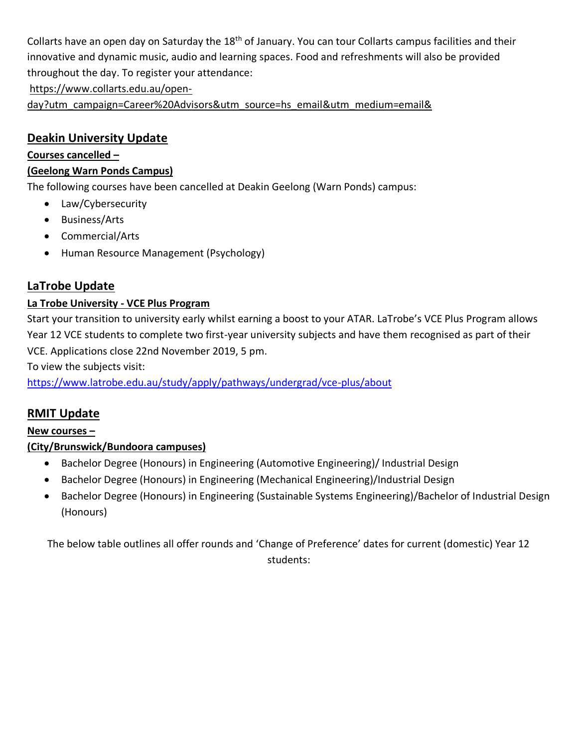Collarts have an open day on Saturday the 18<sup>th</sup> of January. You can tour Collarts campus facilities and their innovative and dynamic music, audio and learning spaces. Food and refreshments will also be provided throughout the day. To register your attendance:

[https://www.collarts.edu.au/open-](https://www.collarts.edu.au/open-day?utm_campaign=Career%20Advisors&utm_source=hs_email&utm_medium=email&)

[day?utm\\_campaign=Career%20Advisors&utm\\_source=hs\\_email&utm\\_medium=email&](https://www.collarts.edu.au/open-day?utm_campaign=Career%20Advisors&utm_source=hs_email&utm_medium=email&)

### **Deakin University Update**

#### **Courses cancelled –**

#### **(Geelong Warn Ponds Campus)**

The following courses have been cancelled at Deakin Geelong (Warn Ponds) campus:

- Law/Cybersecurity
- Business/Arts
- Commercial/Arts
- Human Resource Management (Psychology)

# **LaTrobe Update**

#### **La Trobe University - VCE Plus Program**

Start your transition to university early whilst earning a boost to your ATAR. LaTrobe's VCE Plus Program allows Year 12 VCE students to complete two first-year university subjects and have them recognised as part of their VCE. Applications close 22nd November 2019, 5 pm.

To view the subjects visit:

<https://www.latrobe.edu.au/study/apply/pathways/undergrad/vce-plus/about>

# **RMIT Update**

#### **New courses –**

#### **(City/Brunswick/Bundoora campuses)**

- Bachelor Degree (Honours) in Engineering (Automotive Engineering)/ Industrial Design
- Bachelor Degree (Honours) in Engineering (Mechanical Engineering)/Industrial Design
- Bachelor Degree (Honours) in Engineering (Sustainable Systems Engineering)/Bachelor of Industrial Design (Honours)

The below table outlines all offer rounds and 'Change of Preference' dates for current (domestic) Year 12 students: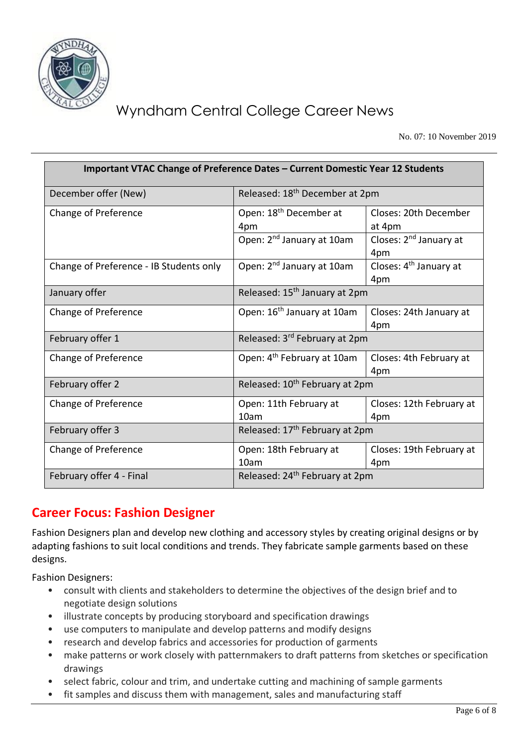

# Wyndham Central College Career News

No. 07: 10 November 2019

| Important VTAC Change of Preference Dates - Current Domestic Year 12 Students |                                            |                                           |  |  |  |
|-------------------------------------------------------------------------------|--------------------------------------------|-------------------------------------------|--|--|--|
| December offer (New)                                                          | Released: 18 <sup>th</sup> December at 2pm |                                           |  |  |  |
| Change of Preference                                                          | Open: 18 <sup>th</sup> December at<br>4pm  | Closes: 20th December<br>at 4pm           |  |  |  |
|                                                                               | Open: 2 <sup>nd</sup> January at 10am      | Closes: 2 <sup>nd</sup> January at<br>4pm |  |  |  |
| Change of Preference - IB Students only                                       | Open: 2 <sup>nd</sup> January at 10am      | Closes: 4 <sup>th</sup> January at<br>4pm |  |  |  |
| January offer                                                                 | Released: 15 <sup>th</sup> January at 2pm  |                                           |  |  |  |
| Change of Preference                                                          | Open: 16 <sup>th</sup> January at 10am     | Closes: 24th January at<br>4pm            |  |  |  |
| February offer 1                                                              | Released: 3 <sup>rd</sup> February at 2pm  |                                           |  |  |  |
| Change of Preference                                                          | Open: 4 <sup>th</sup> February at 10am     | Closes: 4th February at<br>4pm            |  |  |  |
| February offer 2                                                              | Released: 10 <sup>th</sup> February at 2pm |                                           |  |  |  |
| Change of Preference                                                          | Open: 11th February at<br>10am             | Closes: 12th February at<br>4pm           |  |  |  |
| February offer 3                                                              | Released: 17 <sup>th</sup> February at 2pm |                                           |  |  |  |
| Change of Preference                                                          | Open: 18th February at<br>10am             | Closes: 19th February at<br>4pm           |  |  |  |
| February offer 4 - Final                                                      | Released: 24 <sup>th</sup> February at 2pm |                                           |  |  |  |

# **Career Focus: Fashion Designer**

Fashion Designers plan and develop new clothing and accessory styles by creating original designs or by adapting fashions to suit local conditions and trends. They fabricate sample garments based on these designs.

Fashion Designers:

- consult with clients and stakeholders to determine the objectives of the design brief and to negotiate design solutions
- illustrate concepts by producing storyboard and specification drawings
- use computers to manipulate and develop patterns and modify designs
- research and develop fabrics and accessories for production of garments
- make patterns or work closely with patternmakers to draft patterns from sketches or specification drawings
- select fabric, colour and trim, and undertake cutting and machining of sample garments
- fit samples and discuss them with management, sales and manufacturing staff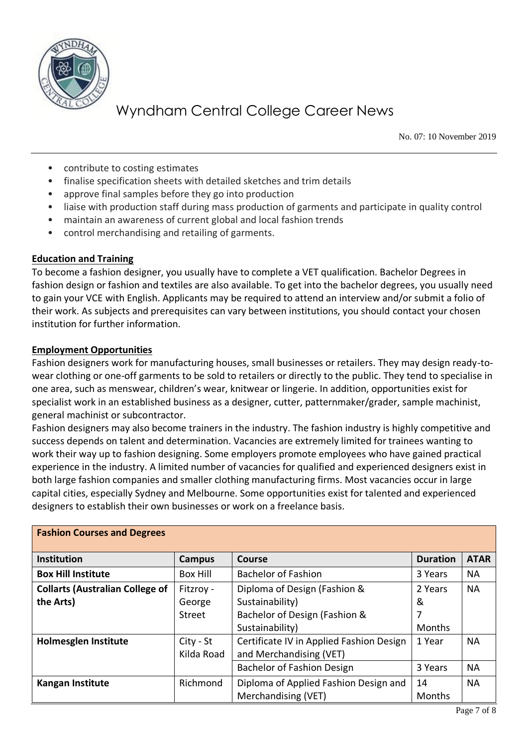

# Wyndham Central College Career News

No. 07: 10 November 2019

- contribute to costing estimates
- finalise specification sheets with detailed sketches and trim details
- approve final samples before they go into production
- liaise with production staff during mass production of garments and participate in quality control
- maintain an awareness of current global and local fashion trends
- control merchandising and retailing of garments.

#### **Education and Training**

To become a fashion designer, you usually have to complete a VET qualification. Bachelor Degrees in fashion design or fashion and textiles are also available. To get into the bachelor degrees, you usually need to gain your VCE with English. Applicants may be required to attend an interview and/or submit a folio of their work. As subjects and prerequisites can vary between institutions, you should contact your chosen institution for further information.

#### **Employment Opportunities**

Fashion designers work for manufacturing houses, small businesses or retailers. They may design ready-towear clothing or one-off garments to be sold to retailers or directly to the public. They tend to specialise in one area, such as menswear, children's wear, knitwear or lingerie. In addition, opportunities exist for specialist work in an established business as a designer, cutter, patternmaker/grader, sample machinist, general machinist or subcontractor.

Fashion designers may also become trainers in the industry. The fashion industry is highly competitive and success depends on talent and determination. Vacancies are extremely limited for trainees wanting to work their way up to fashion designing. Some employers promote employees who have gained practical experience in the industry. A limited number of vacancies for qualified and experienced designers exist in both large fashion companies and smaller clothing manufacturing firms. Most vacancies occur in large capital cities, especially Sydney and Melbourne. Some opportunities exist for talented and experienced designers to establish their own businesses or work on a freelance basis.

| <b>Fashion Courses and Degrees</b>     |                 |                                          |                 |             |  |  |
|----------------------------------------|-----------------|------------------------------------------|-----------------|-------------|--|--|
| <b>Institution</b>                     | Campus          | Course                                   | <b>Duration</b> | <b>ATAR</b> |  |  |
| <b>Box Hill Institute</b>              | <b>Box Hill</b> | <b>Bachelor of Fashion</b>               | 3 Years         | <b>NA</b>   |  |  |
| <b>Collarts (Australian College of</b> | Fitzroy -       | Diploma of Design (Fashion &             | 2 Years         | <b>NA</b>   |  |  |
| the Arts)                              | George          | Sustainability)                          | &               |             |  |  |
|                                        | <b>Street</b>   | Bachelor of Design (Fashion &            | 7               |             |  |  |
|                                        |                 | Sustainability)                          | Months          |             |  |  |
| <b>Holmesglen Institute</b>            | City - St       | Certificate IV in Applied Fashion Design | 1 Year          | <b>NA</b>   |  |  |
|                                        | Kilda Road      | and Merchandising (VET)                  |                 |             |  |  |
|                                        |                 | <b>Bachelor of Fashion Design</b>        | 3 Years         | <b>NA</b>   |  |  |
| <b>Kangan Institute</b>                | Richmond        | Diploma of Applied Fashion Design and    | 14              | <b>NA</b>   |  |  |
|                                        |                 | Merchandising (VET)                      | Months          |             |  |  |